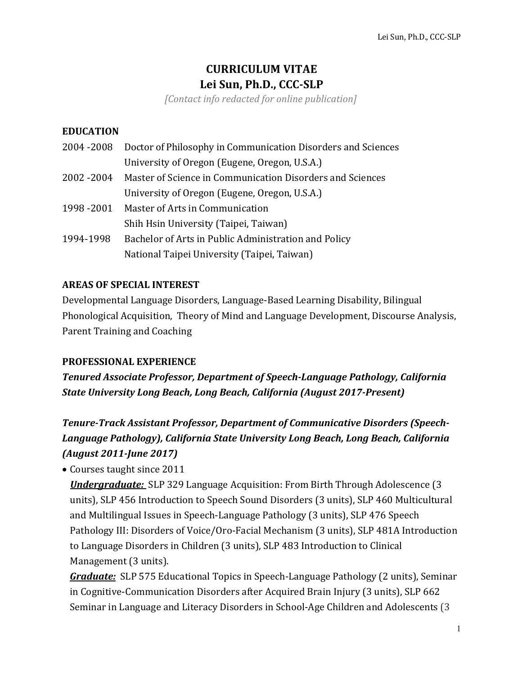# **CURRICULUM VITAE Lei Sun, Ph.D., CCC-SLP**

*[Contact info redacted for online publication]*

### **EDUCATION**

|             | 2004 -2008 Doctor of Philosophy in Communication Disorders and Sciences |
|-------------|-------------------------------------------------------------------------|
|             | University of Oregon (Eugene, Oregon, U.S.A.)                           |
| 2002 - 2004 | Master of Science in Communication Disorders and Sciences               |
|             | University of Oregon (Eugene, Oregon, U.S.A.)                           |
|             | 1998 - 2001 Master of Arts in Communication                             |
|             | Shih Hsin University (Taipei, Taiwan)                                   |
| 1994-1998   | Bachelor of Arts in Public Administration and Policy                    |
|             | National Taipei University (Taipei, Taiwan)                             |

### **AREAS OF SPECIAL INTEREST**

Developmental Language Disorders, Language-Based Learning Disability, Bilingual Phonological Acquisition, Theory of Mind and Language Development, Discourse Analysis, Parent Training and Coaching

### **PROFESSIONAL EXPERIENCE**

**Tenured Associate Professor, Department of Speech-Language Pathology, California State University Long Beach, Long Beach, California (August 2017-Present)** 

# *Tenure-Track Assistant Professor, Department of Communicative Disorders (Speech-Language Pathology), California State University Long Beach, Long Beach, California (August 2011-June 2017)*

• Courses taught since 2011

*Undergraduate:* SLP 329 Language Acquisition: From Birth Through Adolescence (3) units), SLP 456 Introduction to Speech Sound Disorders (3 units), SLP 460 Multicultural and Multilingual Issues in Speech-Language Pathology (3 units), SLP 476 Speech Pathology III: Disorders of Voice/Oro-Facial Mechanism (3 units), SLP 481A Introduction to Language Disorders in Children (3 units), SLP 483 Introduction to Clinical Management (3 units).

*Graduate:* SLP 575 Educational Topics in Speech-Language Pathology (2 units), Seminar in Cognitive-Communication Disorders after Acquired Brain Injury (3 units), SLP 662 Seminar in Language and Literacy Disorders in School-Age Children and Adolescents (3)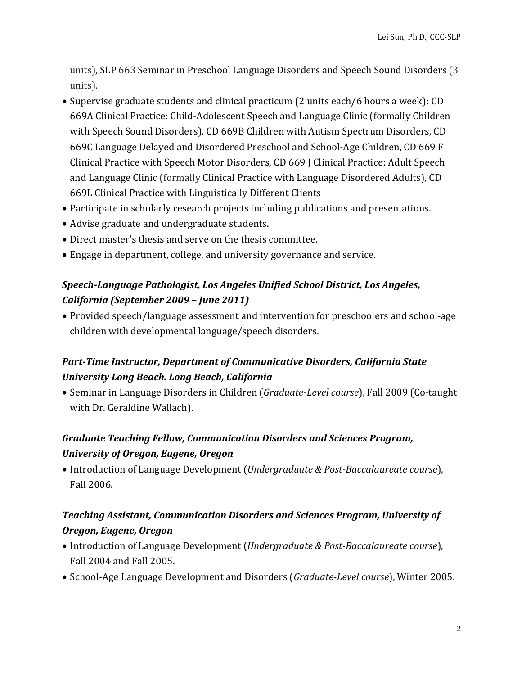units), SLP 663 Seminar in Preschool Language Disorders and Speech Sound Disorders (3 units).

- Supervise graduate students and clinical practicum (2 units each/6 hours a week): CD 669A Clinical Practice: Child-Adolescent Speech and Language Clinic (formally Children with Speech Sound Disorders), CD 669B Children with Autism Spectrum Disorders, CD 669C Language Delayed and Disordered Preschool and School-Age Children, CD 669 F Clinical Practice with Speech Motor Disorders, CD 669 J Clinical Practice: Adult Speech and Language Clinic (formally Clinical Practice with Language Disordered Adults), CD 669L Clinical Practice with Linguistically Different Clients
- Participate in scholarly research projects including publications and presentations.
- Advise graduate and undergraduate students.
- Direct master's thesis and serve on the thesis committee.
- Engage in department, college, and university governance and service.

# **Speech-Language Pathologist, Los Angeles Unified School District, Los Angeles,** *California (September 2009 – June 2011)*

• Provided speech/language assessment and intervention for preschoolers and school-age children with developmental language/speech disorders.

## **Part-Time Instructor, Department of Communicative Disorders, California State** *University Long Beach. Long Beach, California*

• Seminar in Language Disorders in Children (*Graduate-Level course*), Fall 2009 (Co-taught with Dr. Geraldine Wallach).

# *Graduate Teaching Fellow, Communication Disorders and Sciences Program, University of Oregon, Eugene, Oregon*

• Introduction of Language Development (*Undergraduate & Post-Baccalaureate course*), Fall 2006.

## *Teaching Assistant, Communication Disorders and Sciences Program, University of Oregon, Eugene, Oregon*

- Introduction of Language Development (*Undergraduate & Post-Baccalaureate course*), Fall 2004 and Fall 2005.
- School-Age Language Development and Disorders (*Graduate-Level course*), Winter 2005.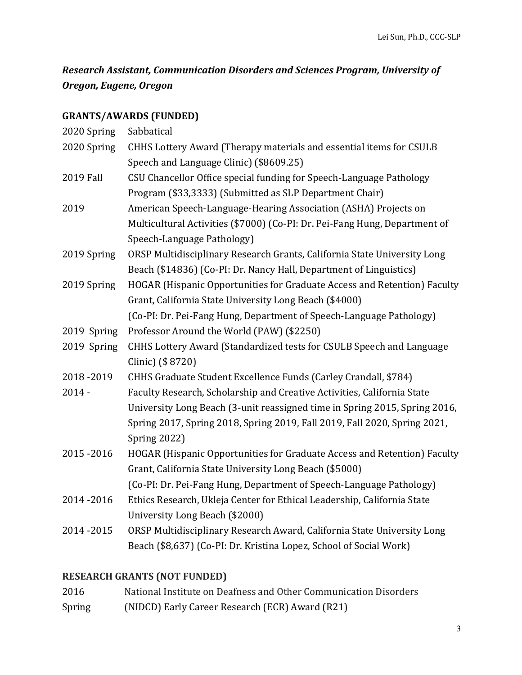**Research Assistant, Communication Disorders and Sciences Program, University of** *Oregon, Eugene, Oregon*

## **GRANTS/AWARDS (FUNDED)**

| 2020 Spring | Sabbatical                                                                 |
|-------------|----------------------------------------------------------------------------|
| 2020 Spring | CHHS Lottery Award (Therapy materials and essential items for CSULB        |
|             | Speech and Language Clinic) (\$8609.25)                                    |
| 2019 Fall   | CSU Chancellor Office special funding for Speech-Language Pathology        |
|             | Program (\$33,3333) (Submitted as SLP Department Chair)                    |
| 2019        | American Speech-Language-Hearing Association (ASHA) Projects on            |
|             | Multicultural Activities (\$7000) (Co-PI: Dr. Pei-Fang Hung, Department of |
|             | Speech-Language Pathology)                                                 |
| 2019 Spring | ORSP Multidisciplinary Research Grants, California State University Long   |
|             | Beach (\$14836) (Co-PI: Dr. Nancy Hall, Department of Linguistics)         |
| 2019 Spring | HOGAR (Hispanic Opportunities for Graduate Access and Retention) Faculty   |
|             | Grant, California State University Long Beach (\$4000)                     |
|             | (Co-PI: Dr. Pei-Fang Hung, Department of Speech-Language Pathology)        |
| 2019 Spring | Professor Around the World (PAW) (\$2250)                                  |
| 2019 Spring | CHHS Lottery Award (Standardized tests for CSULB Speech and Language       |
|             | Clinic) (\$8720)                                                           |
| 2018-2019   | CHHS Graduate Student Excellence Funds (Carley Crandall, \$784)            |
| $2014 -$    | Faculty Research, Scholarship and Creative Activities, California State    |
|             | University Long Beach (3-unit reassigned time in Spring 2015, Spring 2016, |
|             | Spring 2017, Spring 2018, Spring 2019, Fall 2019, Fall 2020, Spring 2021,  |
|             | <b>Spring 2022)</b>                                                        |
| 2015-2016   | HOGAR (Hispanic Opportunities for Graduate Access and Retention) Faculty   |
|             | Grant, California State University Long Beach (\$5000)                     |
|             | (Co-PI: Dr. Pei-Fang Hung, Department of Speech-Language Pathology)        |
| 2014-2016   | Ethics Research, Ukleja Center for Ethical Leadership, California State    |
|             | University Long Beach (\$2000)                                             |
| 2014-2015   | ORSP Multidisciplinary Research Award, California State University Long    |
|             | Beach (\$8,637) (Co-PI: Dr. Kristina Lopez, School of Social Work)         |

# **RESEARCH GRANTS (NOT FUNDED)**

| 2016   | National Institute on Deafness and Other Communication Disorders |
|--------|------------------------------------------------------------------|
| Spring | (NIDCD) Early Career Research (ECR) Award (R21)                  |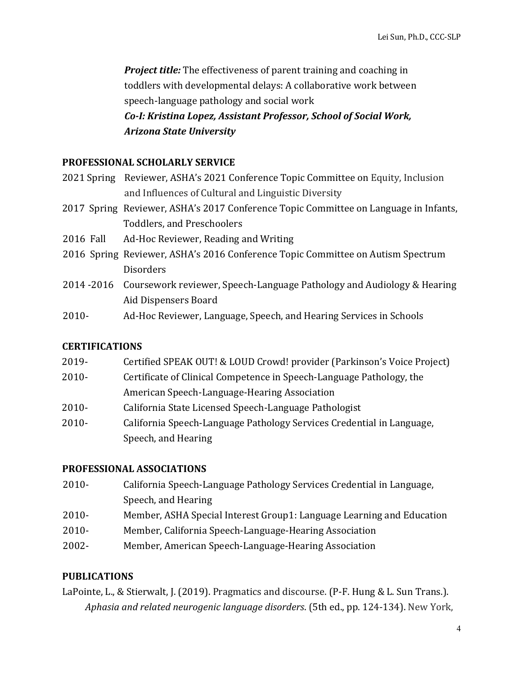**Project title:** The effectiveness of parent training and coaching in toddlers with developmental delays: A collaborative work between speech-language pathology and social work *Co-I: Kristina Lopez, Assistant Professor, School of Social Work, Arizona State University*

### **PROFESSIONAL SCHOLARLY SERVICE**

| 2021 Spring Reviewer, ASHA's 2021 Conference Topic Committee on Equity, Inclusion |
|-----------------------------------------------------------------------------------|
| and Influences of Cultural and Linguistic Diversity                               |

- 2017 Spring Reviewer, ASHA's 2017 Conference Topic Committee on Language in Infants, Toddlers, and Preschoolers
- 2016 Fall Ad-Hoc Reviewer, Reading and Writing
- 2016 Spring Reviewer, ASHA's 2016 Conference Topic Committee on Autism Spectrum **Disorders**
- 2014 -2016 Coursework reviewer, Speech-Language Pathology and Audiology & Hearing Aid Dispensers Board
- 2010- Ad-Hoc Reviewer, Language, Speech, and Hearing Services in Schools

### **CERTIFICATIONS**

- 2019- Certified SPEAK OUT! & LOUD Crowd! provider (Parkinson's Voice Project)
- 2010- Certificate of Clinical Competence in Speech-Language Pathology, the American Speech-Language-Hearing Association
- 2010- California State Licensed Speech-Language Pathologist
- 2010- California Speech-Language Pathology Services Credential in Language, Speech, and Hearing

### **PROFESSIONAL ASSOCIATIONS**

- 2010- California Speech-Language Pathology Services Credential in Language, Speech, and Hearing
- 2010- Member, ASHA Special Interest Group1: Language Learning and Education
- 2010- Member, California Speech-Language-Hearing Association
- 2002- Member, American Speech-Language-Hearing Association

### **PUBLICATIONS**

LaPointe, L., & Stierwalt, J. (2019). Pragmatics and discourse. (P-F. Hung & L. Sun Trans.). *Aphasia and related neurogenic language disorders.* (5th ed., pp. 124-134). New York,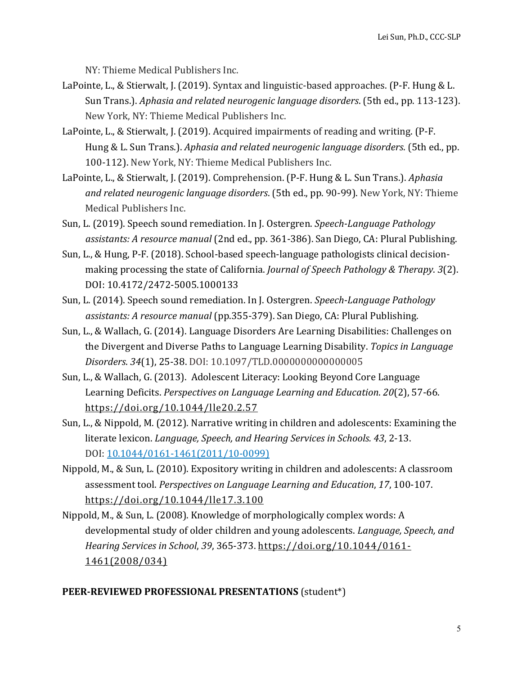NY: Thieme Medical Publishers Inc.

- LaPointe, L., & Stierwalt, J. (2019). Syntax and linguistic-based approaches. (P-F. Hung & L. Sun Trans.). *Aphasia and related neurogenic language disorders*. (5th ed., pp. 113-123). New York, NY: Thieme Medical Publishers Inc.
- LaPointe, L., & Stierwalt, J. (2019). Acquired impairments of reading and writing. (P-F. Hung & L. Sun Trans.). *Aphasia and related neurogenic language disorders.* (5th ed., pp. 100-112). New York, NY: Thieme Medical Publishers Inc.
- LaPointe, L., & Stierwalt, J. (2019). Comprehension. (P-F. Hung & L. Sun Trans.). *Aphasia* and related neurogenic language disorders. (5th ed., pp. 90-99). New York, NY: Thieme Medical Publishers Inc.
- Sun, L. (2019). Speech sound remediation. In J. Ostergren. *Speech-Language Pathology* assistants: A resource manual (2nd ed., pp. 361-386). San Diego, CA: Plural Publishing.
- Sun, L., & Hung, P-F. (2018). School-based speech-language pathologists clinical decisionmaking processing the state of California. *Journal of Speech Pathology & Therapy.* 3(2). DOI: 10.4172/2472-5005.1000133
- Sun, L. (2014). Speech sound remediation. In J. Ostergren. *Speech-Language Pathology assistants: A resource manual* (pp.355-379). San Diego, CA: Plural Publishing.
- Sun, L., & Wallach, G. (2014). Language Disorders Are Learning Disabilities: Challenges on the Divergent and Diverse Paths to Language Learning Disability. *Topics in Language Disorders*. *34*(1), 25-38. DOI: 10.1097/TLD.0000000000000005
- Sun, L., & Wallach, G. (2013). Adolescent Literacy: Looking Beyond Core Language Learning Deficits. *Perspectives on Language Learning and Education.* 20(2), 57-66. https://doi.org/10.1044/lle20.2.57
- Sun, L., & Nippold, M. (2012). Narrative writing in children and adolescents: Examining the literate lexicon. *Language, Speech, and Hearing Services in Schools.* 43, 2-13. DOI: 10.1044/0161-1461(2011/10-0099)
- Nippold, M., & Sun, L. (2010). Expository writing in children and adolescents: A classroom assessment tool. *Perspectives on Language Learning and Education*, 17, 100-107. https://doi.org/10.1044/lle17.3.100
- Nippold, M., & Sun, L. (2008). Knowledge of morphologically complex words: A developmental study of older children and young adolescents. *Language, Speech, and Hearing Services in School, 39, 365-373. https://doi.org/10.1044/0161-*1461(2008/034)

#### **PEER-REVIEWED PROFESSIONAL PRESENTATIONS** (student\*)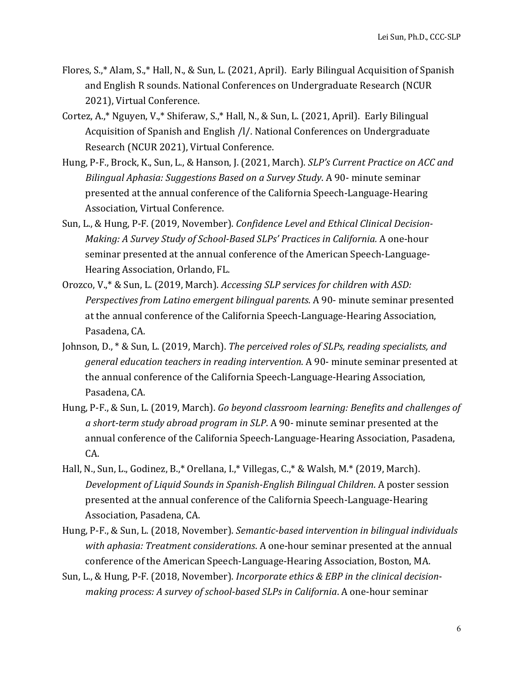- Flores, S.,\* Alam, S.,\* Hall, N., & Sun, L. (2021, April). Early Bilingual Acquisition of Spanish and English R sounds. National Conferences on Undergraduate Research (NCUR 2021), Virtual Conference.
- Cortez, A.,\* Nguyen, V.,\* Shiferaw, S.,\* Hall, N., & Sun, L. (2021, April). Early Bilingual Acquisition of Spanish and English /l/. National Conferences on Undergraduate Research (NCUR 2021), Virtual Conference.
- Hung, P-F., Brock, K., Sun, L., & Hanson, J. (2021, March). *SLP's Current Practice on ACC and Bilingual Aphasia: Suggestions Based on a Survey Study.* A 90- minute seminar presented at the annual conference of the California Speech-Language-Hearing Association, Virtual Conference.
- Sun, L., & Hung, P-F. (2019, November). Confidence Level and Ethical Clinical Decision-*Making: A Survey Study of School-Based SLPs' Practices in California. A one-hour* seminar presented at the annual conference of the American Speech-Language-Hearing Association, Orlando, FL.
- Orozco, V.,\* & Sun, L. (2019, March). *Accessing SLP services for children with ASD: Perspectives from Latino emergent bilingual parents.* A 90- minute seminar presented at the annual conference of the California Speech-Language-Hearing Association, Pasadena, CA.
- Johnson, D.,  $* \&$  Sun, L. (2019, March). *The perceived roles of SLPs, reading specialists, and general education teachers in reading intervention.* A 90- minute seminar presented at the annual conference of the California Speech-Language-Hearing Association, Pasadena, CA.
- Hung, P-F., & Sun, L. (2019, March). *Go beyond classroom learning: Benefits and challenges of* a short-term study abroad program in SLP. A 90- minute seminar presented at the annual conference of the California Speech-Language-Hearing Association, Pasadena, CA.
- Hall, N., Sun, L., Godinez, B.,\* Orellana, I.,\* Villegas, C.,\* & Walsh, M.\* (2019, March). *Development of Liquid Sounds in Spanish-English Bilingual Children.* A poster session presented at the annual conference of the California Speech-Language-Hearing Association, Pasadena, CA.
- Hung, P-F., & Sun, L. (2018, November). *Semantic-based intervention in bilingual individuals with aphasia: Treatment considerations.* A one-hour seminar presented at the annual conference of the American Speech-Language-Hearing Association, Boston, MA.
- Sun, L., & Hung, P-F. (2018, November). *Incorporate ethics & EBP in the clinical decisionmaking process: A survey of school-based SLPs in California.* A one-hour seminar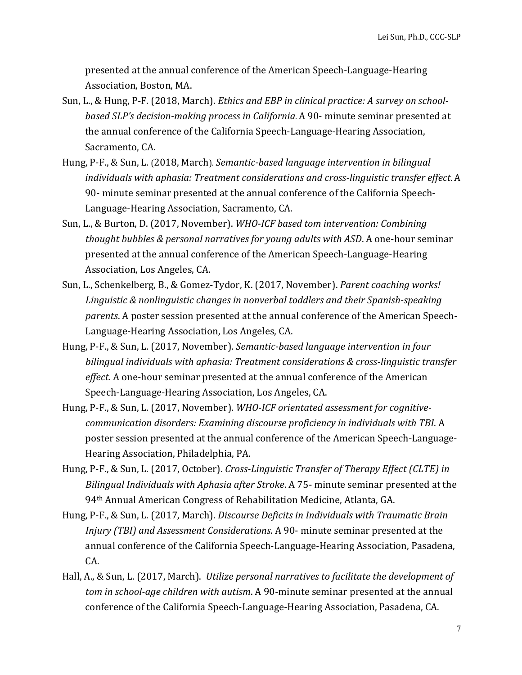presented at the annual conference of the American Speech-Language-Hearing Association, Boston, MA.

- Sun, L., & Hung, P-F. (2018, March). *Ethics and EBP in clinical practice: A survey on schoolbased SLP's decision-making process in California.* A 90- minute seminar presented at the annual conference of the California Speech-Language-Hearing Association, Sacramento, CA.
- Hung, P-F., & Sun, L. (2018, March). *Semantic-based language intervention in bilingual individuals with aphasia: Treatment considerations and cross-linguistic transfer effect.* A 90- minute seminar presented at the annual conference of the California Speech-Language-Hearing Association, Sacramento, CA.
- Sun, L., & Burton, D. (2017, November). WHO-ICF based tom intervention: Combining *thought bubbles & personal narratives for young adults with ASD.* A one-hour seminar presented at the annual conference of the American Speech-Language-Hearing Association, Los Angeles, CA.
- Sun, L., Schenkelberg, B., & Gomez-Tydor, K. (2017, November). *Parent coaching works!* Linguistic & nonlinguistic changes in nonverbal toddlers and their Spanish-speaking *parents*. A poster session presented at the annual conference of the American Speech-Language-Hearing Association, Los Angeles, CA.
- Hung, P-F., & Sun, L. (2017, November). *Semantic-based language intervention in four* bilingual individuals with aphasia: Treatment considerations & cross-linguistic transfer *effect*. A one-hour seminar presented at the annual conference of the American Speech-Language-Hearing Association, Los Angeles, CA.
- Hung, P-F., & Sun, L. (2017, November). *WHO-ICF orientated assessment for cognitivecommunication disorders: Examining discourse proficiency in individuals with TBI*. A poster session presented at the annual conference of the American Speech-Language-Hearing Association, Philadelphia, PA.
- Hung, P-F., & Sun, L. (2017, October). *Cross-Linguistic Transfer of Therapy Effect (CLTE)* in *Bilingual Individuals with Aphasia after Stroke.* A 75- minute seminar presented at the 94<sup>th</sup> Annual American Congress of Rehabilitation Medicine, Atlanta, GA.
- Hung, P-F., & Sun, L. (2017, March). *Discourse Deficits in Individuals with Traumatic Brain Injury* (TBI) and *Assessment Considerations*. A 90- minute seminar presented at the annual conference of the California Speech-Language-Hearing Association, Pasadena, CA.
- Hall, A., & Sun, L. (2017, March). *Utilize personal narratives to facilitate the development of tom* in school-age children with autism. A 90-minute seminar presented at the annual conference of the California Speech-Language-Hearing Association, Pasadena, CA.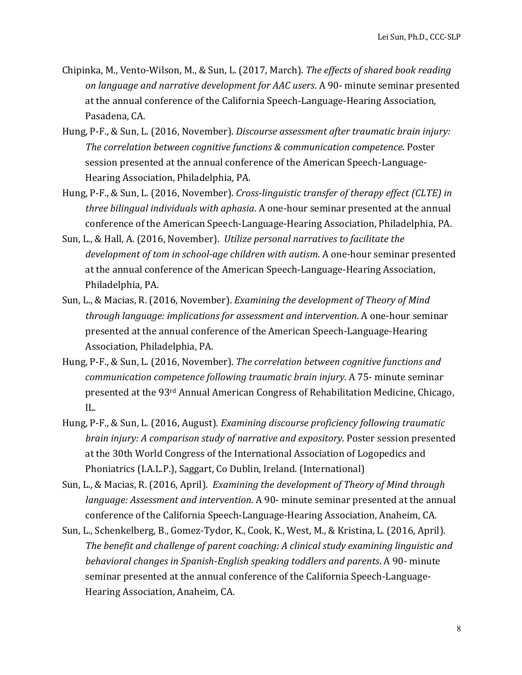- Chipinka, M., Vento-Wilson, M., & Sun, L. (2017, March). *The effects of shared book reading* on language and narrative development for AAC users. A 90- minute seminar presented at the annual conference of the California Speech-Language-Hearing Association, Pasadena, CA.
- Hung, P-F., & Sun, L. (2016, November). *Discourse assessment after traumatic brain injury: The correlation between cognitive functions & communication competence.* Poster session presented at the annual conference of the American Speech-Language-Hearing Association, Philadelphia, PA.
- Hung, P-F., & Sun, L. (2016, November). *Cross-linguistic transfer of therapy effect (CLTE)* in *three bilingual individuals with aphasia.* A one-hour seminar presented at the annual conference of the American Speech-Language-Hearing Association, Philadelphia, PA.
- Sun, L., & Hall, A. (2016, November). *Utilize personal narratives to facilitate the development of tom in school-age children with autism.* A one-hour seminar presented at the annual conference of the American Speech-Language-Hearing Association, Philadelphia, PA.
- Sun, L., & Macias, R. (2016, November). *Examining the development of Theory of Mind through language: implications for assessment and intervention*. A one-hour seminar presented at the annual conference of the American Speech-Language-Hearing Association, Philadelphia, PA.
- Hung, P-F., & Sun, L. (2016, November). *The correlation between cognitive functions and communication competence following traumatic brain injury.* A 75- minute seminar presented at the 93<sup>rd</sup> Annual American Congress of Rehabilitation Medicine, Chicago, IL.
- Hung, P-F., & Sun, L. (2016, August). *Examining discourse proficiency following traumatic brain injury: A comparison study of narrative and expository.* Poster session presented at the 30th World Congress of the International Association of Logopedics and Phoniatrics (I.A.L.P.), Saggart, Co Dublin, Ireland. (International)
- Sun, L., & Macias, R. (2016, April). *Examining the development of Theory of Mind through language: Assessment and intervention.* A 90- minute seminar presented at the annual conference of the California Speech-Language-Hearing Association, Anaheim, CA.
- Sun, L., Schenkelberg, B., Gomez-Tydor, K., Cook, K., West, M., & Kristina, L. (2016, April). The benefit and challenge of parent coaching: A clinical study examining linguistic and *behavioral changes in Spanish-English speaking toddlers and parents.* A 90- minute seminar presented at the annual conference of the California Speech-Language-Hearing Association, Anaheim, CA.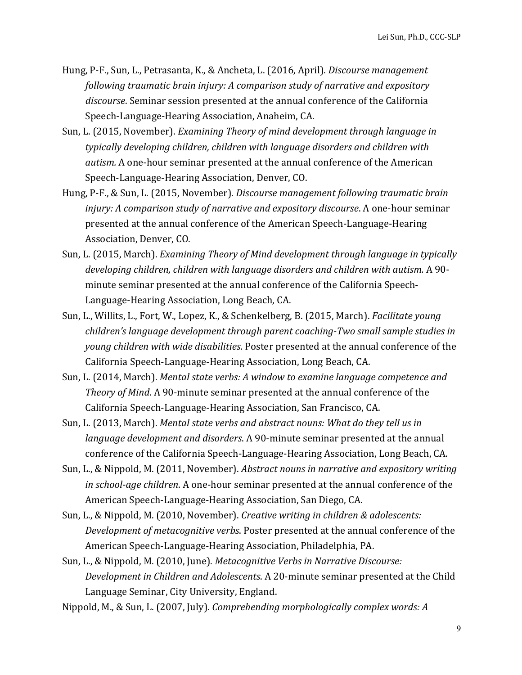- Hung, P-F., Sun, L., Petrasanta, K., & Ancheta, L. (2016, April). *Discourse management following traumatic brain injury: A comparison study of narrative and expository* discourse. Seminar session presented at the annual conference of the California Speech-Language-Hearing Association, Anaheim, CA.
- Sun, L. (2015, November). *Examining Theory of mind development through language in* typically developing children, children with language disorders and children with *autism.* A one-hour seminar presented at the annual conference of the American Speech-Language-Hearing Association, Denver, CO.
- Hung, P-F., & Sun, L. (2015, November). *Discourse management following traumatic brain injury: A comparison study of narrative and expository discourse*. A one-hour seminar presented at the annual conference of the American Speech-Language-Hearing Association, Denver, CO.
- Sun, L. (2015, March). *Examining Theory of Mind development through language in typically* developing children, children with language disorders and children with autism. A 90minute seminar presented at the annual conference of the California Speech-Language-Hearing Association, Long Beach, CA.
- Sun, L., Willits, L., Fort, W., Lopez, K., & Schenkelberg, B. (2015, March). *Facilitate young children's language development through parent coaching-Two small sample studies in young children with wide disabilities*. Poster presented at the annual conference of the California Speech-Language-Hearing Association, Long Beach, CA.
- Sun, L. (2014, March). Mental state verbs: A window to examine language competence and *Theory of Mind.* A 90-minute seminar presented at the annual conference of the California Speech-Language-Hearing Association, San Francisco, CA.
- Sun, L. (2013, March). *Mental state verbs and abstract nouns:* What do they tell us in *language development and disorders.* A 90-minute seminar presented at the annual conference of the California Speech-Language-Hearing Association, Long Beach, CA.
- Sun, L., & Nippold, M. (2011, November). *Abstract nouns in narrative and expository writing in school-age children*. A one-hour seminar presented at the annual conference of the American Speech-Language-Hearing Association, San Diego, CA.
- Sun, L., & Nippold, M. (2010, November). *Creative writing in children & adolescents: Development of metacognitive verbs.* Poster presented at the annual conference of the American Speech-Language-Hearing Association, Philadelphia, PA.
- Sun, L., & Nippold, M. (2010, June). *Metacognitive Verbs in Narrative Discourse:* Development in Children and Adolescents. A 20-minute seminar presented at the Child Language Seminar, City University, England.
- Nippold, M., & Sun, L. (2007, July). *Comprehending morphologically complex words: A*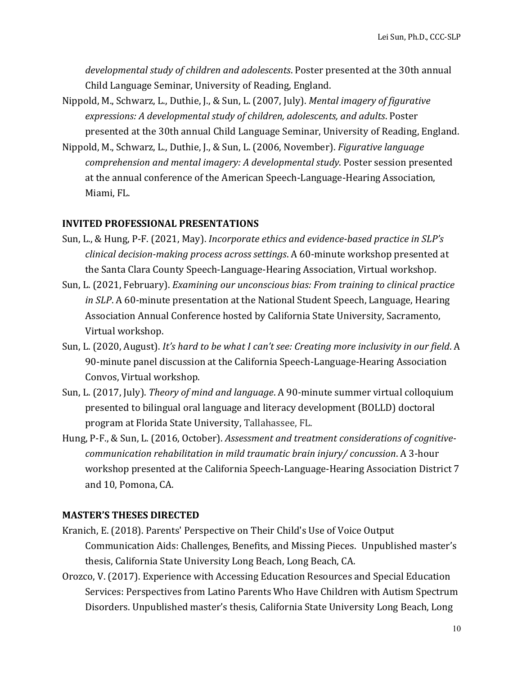developmental study of children and adolescents. Poster presented at the 30th annual Child Language Seminar, University of Reading, England.

- Nippold, M., Schwarz, L., Duthie, J., & Sun, L. (2007, July). *Mental imagery of figurative expressions: A developmental study of children, adolescents, and adults*. Poster presented at the 30th annual Child Language Seminar, University of Reading, England.
- Nippold, M., Schwarz, L., Duthie, J., & Sun, L. (2006, November). *Figurative language comprehension and mental imagery: A developmental study*. Poster session presented at the annual conference of the American Speech-Language-Hearing Association, Miami, FL.

#### **INVITED PROFESSIONAL PRESENTATIONS**

- Sun, L., & Hung, P-F. (2021, May). *Incorporate ethics and evidence-based practice in SLP's clinical decision-making process across settings*. A 60-minute workshop presented at the Santa Clara County Speech-Language-Hearing Association, Virtual workshop.
- Sun, L. (2021, February). *Examining our unconscious bias: From training to clinical practice in SLP*. A 60-minute presentation at the National Student Speech, Language, Hearing Association Annual Conference hosted by California State University, Sacramento, Virtual workshop.
- Sun, L. (2020, August). *It's hard to be what I can't see: Creating more inclusivity in our field.* A 90-minute panel discussion at the California Speech-Language-Hearing Association Convos, Virtual workshop.
- Sun, L. (2017, July). *Theory of mind and language*. A 90-minute summer virtual colloquium presented to bilingual oral language and literacy development (BOLLD) doctoral program at Florida State University, Tallahassee, FL.
- Hung, P-F., & Sun, L. (2016, October). *Assessment and treatment considerations of cognitivecommunication rehabilitation in mild traumatic brain injury/ concussion.* A 3-hour workshop presented at the California Speech-Language-Hearing Association District 7 and 10, Pomona, CA.

#### **MASTER'S THESES DIRECTED**

- Kranich, E. (2018). Parents' Perspective on Their Child's Use of Voice Output Communication Aids: Challenges, Benefits, and Missing Pieces. Unpublished master's thesis, California State University Long Beach, Long Beach, CA.
- Orozco, V. (2017). Experience with Accessing Education Resources and Special Education Services: Perspectives from Latino Parents Who Have Children with Autism Spectrum Disorders. Unpublished master's thesis, California State University Long Beach, Long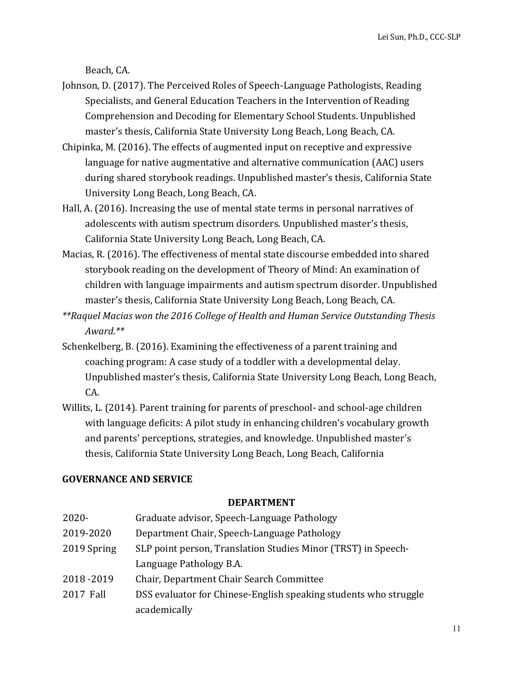Beach, CA.

- Johnson, D. (2017). The Perceived Roles of Speech-Language Pathologists, Reading Specialists, and General Education Teachers in the Intervention of Reading Comprehension and Decoding for Elementary School Students. Unpublished master's thesis, California State University Long Beach, Long Beach, CA.
- Chipinka, M.  $(2016)$ . The effects of augmented input on receptive and expressive language for native augmentative and alternative communication (AAC) users during shared storybook readings. Unpublished master's thesis, California State University Long Beach, Long Beach, CA.
- Hall, A. (2016). Increasing the use of mental state terms in personal narratives of adolescents with autism spectrum disorders. Unpublished master's thesis, California State University Long Beach, Long Beach, CA.
- Macias, R. (2016). The effectiveness of mental state discourse embedded into shared storybook reading on the development of Theory of Mind: An examination of children with language impairments and autism spectrum disorder. Unpublished master's thesis, California State University Long Beach, Long Beach, CA.
- \*\*Raquel Macias won the 2016 College of Health and Human Service Outstanding Thesis *Award.\*\**
- Schenkelberg, B. (2016). Examining the effectiveness of a parent training and coaching program: A case study of a toddler with a developmental delay. Unpublished master's thesis, California State University Long Beach, Long Beach, CA.
- Willits, L. (2014). Parent training for parents of preschool- and school-age children with language deficits: A pilot study in enhancing children's vocabulary growth and parents' perceptions, strategies, and knowledge. Unpublished master's thesis, California State University Long Beach, Long Beach, California

### **GOVERNANCE AND SERVICE**

#### **DEPARTMENT**

| $2020 -$    | Graduate advisor, Speech-Language Pathology                      |
|-------------|------------------------------------------------------------------|
| 2019-2020   | Department Chair, Speech-Language Pathology                      |
| 2019 Spring | SLP point person, Translation Studies Minor (TRST) in Speech-    |
|             | Language Pathology B.A.                                          |
| 2018-2019   | Chair, Department Chair Search Committee                         |
| 2017 Fall   | DSS evaluator for Chinese-English speaking students who struggle |
|             | academically                                                     |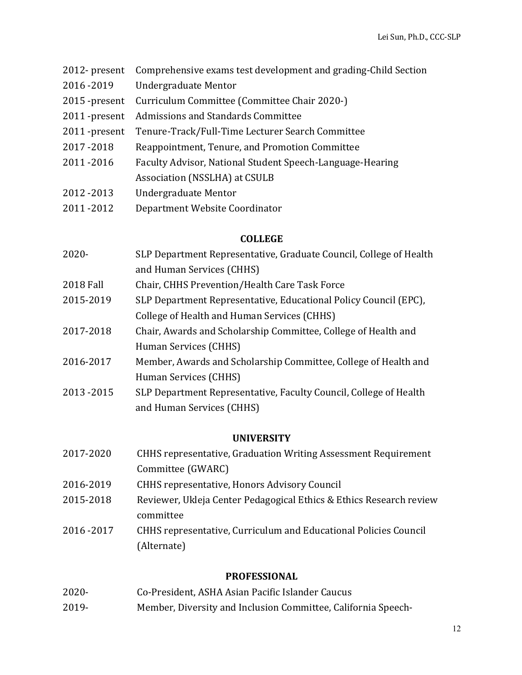- 2012- present Comprehensive exams test development and grading-Child Section 2016 -2019 Undergraduate Mentor 2015 -present Curriculum Committee (Committee Chair 2020-) 2011 -present Admissions and Standards Committee 2011 -present Tenure-Track/Full-Time Lecturer Search Committee 2017 -2018 Reappointment, Tenure, and Promotion Committee 2011 -2016 Faculty Advisor, National Student Speech-Language-Hearing Association (NSSLHA) at CSULB 2012 -2013 Undergraduate Mentor
- 2011 -2012 Department Website Coordinator

#### **COLLEGE**

- 2020- SLP Department Representative, Graduate Council, College of Health and Human Services (CHHS)
- 2018 Fall Chair, CHHS Prevention/Health Care Task Force
- 2015-2019 SLP Department Representative, Educational Policy Council (EPC), College of Health and Human Services (CHHS)
- 2017-2018 Chair, Awards and Scholarship Committee, College of Health and Human Services (CHHS)
- 2016-2017 Member, Awards and Scholarship Committee, College of Health and Human Services (CHHS)
- 2013 -2015 SLP Department Representative, Faculty Council, College of Health and Human Services (CHHS)

#### **UNIVERSITY**

| 2017-2020 | <b>CHHS</b> representative, Graduation Writing Assessment Requirement |
|-----------|-----------------------------------------------------------------------|
|           | Committee (GWARC)                                                     |
| 2016-2019 | <b>CHHS</b> representative, Honors Advisory Council                   |
| 2015-2018 | Reviewer, Ukleja Center Pedagogical Ethics & Ethics Research review   |
|           | committee                                                             |
| 2016-2017 | CHHS representative, Curriculum and Educational Policies Council      |
|           | (Alternate)                                                           |

#### **PROFESSIONAL**

- 2020- Co-President, ASHA Asian Pacific Islander Caucus
- 2019- Member, Diversity and Inclusion Committee, California Speech-